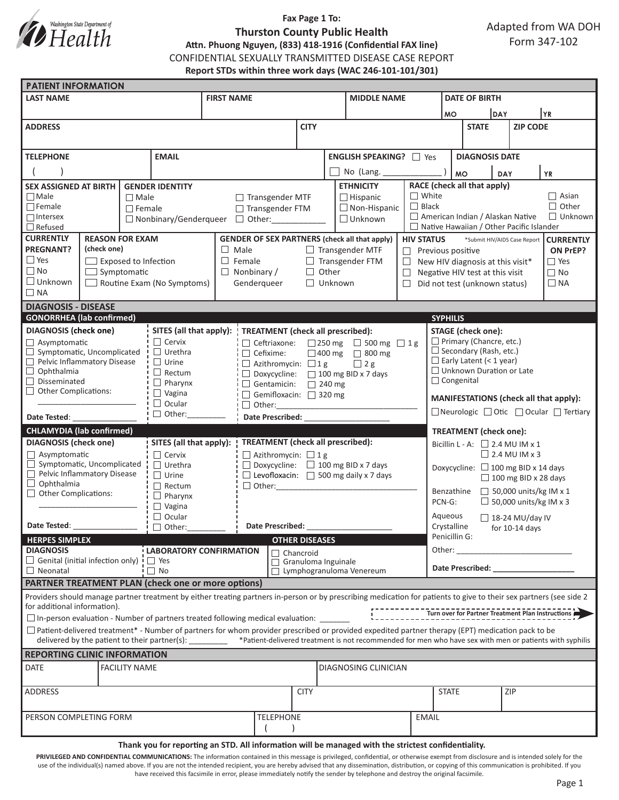

## **Fax Page 1 To: Thurston County Public Health Attn. Phuong Nguyen, (833) 418-1916 (Confidential FAX line)** CONFIDENTIAL SEXUALLY TRANSMITTED DISEASE CASE REPORT **Report STDs within three work days (WAC 246-101-101/301)**

| <b>PATIENT INFORMATION</b>                                                                |  |                        |                                               |                                                                  |                                                                                                     |             |                                                      |                                                                                                                                                                     |                                                    |                                                                                   |                                   |                 |           |                                                   |  |
|-------------------------------------------------------------------------------------------|--|------------------------|-----------------------------------------------|------------------------------------------------------------------|-----------------------------------------------------------------------------------------------------|-------------|------------------------------------------------------|---------------------------------------------------------------------------------------------------------------------------------------------------------------------|----------------------------------------------------|-----------------------------------------------------------------------------------|-----------------------------------|-----------------|-----------|---------------------------------------------------|--|
| <b>LAST NAME</b>                                                                          |  |                        | <b>FIRST NAME</b>                             |                                                                  |                                                                                                     |             | <b>MIDDLE NAME</b>                                   |                                                                                                                                                                     | <b>DATE OF BIRTH</b>                               |                                                                                   |                                   |                 |           |                                                   |  |
|                                                                                           |  |                        |                                               |                                                                  |                                                                                                     |             |                                                      |                                                                                                                                                                     |                                                    | <b>MO</b>                                                                         |                                   | DAY             |           | YR)                                               |  |
| <b>ADDRESS</b>                                                                            |  |                        |                                               |                                                                  | <b>CITY</b>                                                                                         |             |                                                      |                                                                                                                                                                     |                                                    | <b>STATE</b>                                                                      |                                   | <b>ZIP CODE</b> |           |                                                   |  |
|                                                                                           |  |                        |                                               |                                                                  |                                                                                                     |             |                                                      |                                                                                                                                                                     |                                                    |                                                                                   |                                   |                 |           |                                                   |  |
| <b>TELEPHONE</b>                                                                          |  |                        | <b>EMAIL</b>                                  |                                                                  |                                                                                                     |             |                                                      |                                                                                                                                                                     |                                                    |                                                                                   | <b>DIAGNOSIS DATE</b>             |                 |           |                                                   |  |
|                                                                                           |  |                        | <b>ENGLISH SPEAKING?</b> □ Yes                |                                                                  |                                                                                                     |             |                                                      |                                                                                                                                                                     |                                                    |                                                                                   |                                   |                 |           |                                                   |  |
|                                                                                           |  |                        |                                               |                                                                  |                                                                                                     |             | No (Lang.                                            |                                                                                                                                                                     | <b>MO</b>                                          |                                                                                   | <b>DAY</b>                        |                 | <b>YR</b> |                                                   |  |
| <b>SEX ASSIGNED AT BIRTH</b>                                                              |  |                        | <b>GENDER IDENTITY</b>                        |                                                                  | <b>ETHNICITY</b>                                                                                    |             |                                                      | RACE (check all that apply)                                                                                                                                         |                                                    |                                                                                   |                                   |                 |           |                                                   |  |
| $\Box$ Male<br>$\Box$ Male<br>$\Box$ Female                                               |  |                        |                                               | $\Box$ Transgender MTF<br>$\Box$ Hispanic<br>$\Box$ Non-Hispanic |                                                                                                     |             | $\Box$ White<br>$\Box$ Black                         | $\Box$ Asian<br>$\Box$ Other                                                                                                                                        |                                                    |                                                                                   |                                   |                 |           |                                                   |  |
| $\Box$ Intersex                                                                           |  | $\Box$ Female          |                                               |                                                                  | $\Box$ Transgender FTM<br>$\Box$ Unknown<br>$\Box$ Nonbinary/Genderqueer $\Box$ Other:              |             |                                                      |                                                                                                                                                                     | American Indian / Alaskan Native<br>$\Box$ Unknown |                                                                                   |                                   |                 |           |                                                   |  |
| $\Box$ Refused                                                                            |  |                        |                                               |                                                                  |                                                                                                     |             |                                                      |                                                                                                                                                                     |                                                    | $\Box$ Native Hawaiian / Other Pacific Islander                                   |                                   |                 |           |                                                   |  |
| <b>CURRENTLY</b>                                                                          |  | <b>REASON FOR EXAM</b> |                                               |                                                                  |                                                                                                     |             | <b>GENDER OF SEX PARTNERS (check all that apply)</b> |                                                                                                                                                                     |                                                    | <b>HIV STATUS</b><br><b>CURRENTLY</b><br>*Submit HIV/AIDS Case Report             |                                   |                 |           |                                                   |  |
| <b>PREGNANT?</b><br>(check one)                                                           |  |                        |                                               | $\Box$ Male<br>$\Box$ Transgender MTF                            |                                                                                                     |             |                                                      |                                                                                                                                                                     |                                                    | ON PrEP?<br>$\Box$ Previous positive                                              |                                   |                 |           |                                                   |  |
| $\Box$ Yes<br>$\Box$ Exposed to Infection                                                 |  |                        |                                               | $\Box$ Female                                                    |                                                                                                     |             | $\Box$ Transgender FTM<br>$\Box$                     |                                                                                                                                                                     |                                                    | $\Box$ Yes<br>New HIV diagnosis at this visit*                                    |                                   |                 |           |                                                   |  |
| $\Box$ No<br>$\Box$ Symptomatic                                                           |  |                        |                                               | $\Box$ Nonbinary /                                               | $\Box$ Other<br>$\Box$                                                                              |             |                                                      |                                                                                                                                                                     | $\Box$ No<br>Negative HIV test at this visit       |                                                                                   |                                   |                 |           |                                                   |  |
| $\Box$ Unknown<br>$\Box$ Routine Exam (No Symptoms)                                       |  |                        |                                               | Genderqueer                                                      | $\Box$ Unknown<br>$\Box$                                                                            |             |                                                      |                                                                                                                                                                     | Did not test (unknown status)<br>$\Box$ NA         |                                                                                   |                                   |                 |           |                                                   |  |
| $\Box$ NA                                                                                 |  |                        |                                               |                                                                  |                                                                                                     |             |                                                      |                                                                                                                                                                     |                                                    |                                                                                   |                                   |                 |           |                                                   |  |
| <b>DIAGNOSIS - DISEASE</b>                                                                |  |                        |                                               |                                                                  |                                                                                                     |             |                                                      |                                                                                                                                                                     |                                                    |                                                                                   |                                   |                 |           |                                                   |  |
| <b>GONORRHEA</b> (lab confirmed)                                                          |  |                        |                                               |                                                                  |                                                                                                     |             |                                                      |                                                                                                                                                                     |                                                    | <b>SYPHILIS</b>                                                                   |                                   |                 |           |                                                   |  |
| <b>DIAGNOSIS</b> (check one)                                                              |  |                        | SITES (all that apply):                       |                                                                  | TREATMENT (check all prescribed):                                                                   |             |                                                      |                                                                                                                                                                     |                                                    | <b>STAGE</b> (check one):<br>$\Box$ Primary (Chancre, etc.)                       |                                   |                 |           |                                                   |  |
| $\Box$ Asymptomatic<br>Symptomatic, Uncomplicated<br>$\Box$                               |  |                        | $\Box$ Cervix<br>$\Box$ Urethra               |                                                                  | □ Ceftriaxone: □ 250 mg □ 500 mg □ 1 g                                                              |             |                                                      |                                                                                                                                                                     |                                                    |                                                                                   | $\Box$ Secondary (Rash, etc.)     |                 |           |                                                   |  |
| П<br>Pelvic Inflammatory Disease                                                          |  |                        | $\Box$ Urine                                  |                                                                  | □ 400 mg □ 800 mg<br>$\Box$ Cefixime:<br>$\Box$ Azithromycin: $\Box$ 1 g<br>$\Box$ 2 g              |             |                                                      |                                                                                                                                                                     |                                                    |                                                                                   | $\Box$ Early Latent (< 1 year)    |                 |           |                                                   |  |
| □<br>Ophthalmia                                                                           |  |                        | $\Box$ Rectum                                 | □ Doxycycline: □ 100 mg BID x 7 days                             |                                                                                                     |             |                                                      |                                                                                                                                                                     | $\Box$ Unknown Duration or Late                    |                                                                                   |                                   |                 |           |                                                   |  |
| □<br>Disseminated                                                                         |  |                        | $\Box$ Pharynx                                | Gentamicin: 240 mg                                               |                                                                                                     |             |                                                      |                                                                                                                                                                     |                                                    |                                                                                   | $\Box$ Congenital                 |                 |           |                                                   |  |
| $\Box$ Other Complications:                                                               |  |                        | $\Box$ Vagina                                 | Gemifloxacin: 320 mg                                             |                                                                                                     |             |                                                      |                                                                                                                                                                     |                                                    |                                                                                   |                                   |                 |           |                                                   |  |
| $\Box$ Ocular                                                                             |  |                        | $\Box$ Other:                                 | $\Box$ Other:                                                    |                                                                                                     |             |                                                      |                                                                                                                                                                     |                                                    | MANIFESTATIONS (check all that apply):<br>□ Neurologic □ Otic □ Ocular □ Tertiary |                                   |                 |           |                                                   |  |
| Date Tested:                                                                              |  | Date Prescribed:       |                                               |                                                                  |                                                                                                     |             |                                                      |                                                                                                                                                                     |                                                    |                                                                                   |                                   |                 |           |                                                   |  |
| <b>CHLAMYDIA</b> (lab confirmed)                                                          |  |                        |                                               |                                                                  |                                                                                                     |             | <b>TREATMENT</b> (check one):                        |                                                                                                                                                                     |                                                    |                                                                                   |                                   |                 |           |                                                   |  |
| <b>DIAGNOSIS</b> (check one)                                                              |  |                        | SITES (all that apply):                       | <b>TREATMENT</b> (check all prescribed):                         |                                                                                                     |             |                                                      |                                                                                                                                                                     | Bicillin L - A: $\Box$ 2.4 MU IM x 1               |                                                                                   |                                   |                 |           |                                                   |  |
| $\Box$ Asymptomatic<br>Symptomatic, Uncomplicated                                         |  |                        | $\Box$ Cervix                                 |                                                                  | $\Box$ Azithromycin: $\Box$ 1 g                                                                     |             |                                                      |                                                                                                                                                                     |                                                    | $\Box$ 2.4 MU IM x 3                                                              |                                   |                 |           |                                                   |  |
| Pelvic Inflammatory Disease                                                               |  |                        | $\Box$ Urethra<br>$\Box$ Urine                |                                                                  | $\Box$ Doxycycline: $\Box$ 100 mg BID x 7 days<br>$\Box$ Levofloxacin: $\Box$ 500 mg daily x 7 days |             |                                                      |                                                                                                                                                                     |                                                    | Doxycycline: $\Box$ 100 mg BID x 14 days                                          |                                   |                 |           |                                                   |  |
| $\Box$ Ophthalmia                                                                         |  |                        | $\Box$ Rectum                                 | $\Box$ Other:                                                    |                                                                                                     |             |                                                      |                                                                                                                                                                     |                                                    | $\Box$ 100 mg BID x 28 days                                                       |                                   |                 |           |                                                   |  |
| $\Box$ Other Complications:                                                               |  |                        | $\Box$ Pharynx                                |                                                                  |                                                                                                     |             |                                                      |                                                                                                                                                                     | $\Box$ 50,000 units/kg IM x 1<br>Benzathine        |                                                                                   |                                   |                 |           |                                                   |  |
|                                                                                           |  |                        | $\Box$ Vagina                                 |                                                                  |                                                                                                     |             |                                                      |                                                                                                                                                                     |                                                    | $\Box$ 50,000 units/kg IM x 3<br>PCN-G:                                           |                                   |                 |           |                                                   |  |
| $\Box$ Ocular                                                                             |  |                        |                                               |                                                                  |                                                                                                     |             |                                                      |                                                                                                                                                                     |                                                    |                                                                                   | Aqueous<br>$\Box$ 18-24 MU/day IV |                 |           |                                                   |  |
| Date Tested:<br>$\Box$ Other:                                                             |  |                        |                                               | <b>Date Prescribed:</b>                                          |                                                                                                     |             |                                                      |                                                                                                                                                                     |                                                    | Crystalline<br>for 10-14 days<br>Penicillin G:                                    |                                   |                 |           |                                                   |  |
| <b>HERPES SIMPLEX</b>                                                                     |  |                        |                                               | <b>OTHER DISEASES</b>                                            |                                                                                                     |             |                                                      |                                                                                                                                                                     |                                                    |                                                                                   |                                   |                 |           |                                                   |  |
| <b>DIAGNOSIS</b>                                                                          |  |                        |                                               | LABORATORY CONFIRMATION<br>$\Box$ Chancroid                      |                                                                                                     |             |                                                      |                                                                                                                                                                     |                                                    | Other:<br>the company of the company of the                                       |                                   |                 |           |                                                   |  |
| $\Box$ Genital (initial infection only) $\vdash$ $\Box$ Yes<br>$\Box$ Neonatal            |  |                        | $\Box$ No                                     | Granuloma Inguinale<br>□<br>Lymphogranuloma Venereum<br>П        |                                                                                                     |             |                                                      | Date Prescribed:                                                                                                                                                    |                                                    |                                                                                   |                                   |                 |           |                                                   |  |
| <b>PARTNER TREATMENT PLAN (check one or more options)</b>                                 |  |                        |                                               |                                                                  |                                                                                                     |             |                                                      |                                                                                                                                                                     |                                                    |                                                                                   |                                   |                 |           |                                                   |  |
|                                                                                           |  |                        |                                               |                                                                  |                                                                                                     |             |                                                      | Providers should manage partner treatment by either treating partners in-person or by prescribing medication for patients to give to their sex partners (see side 2 |                                                    |                                                                                   |                                   |                 |           |                                                   |  |
| for additional information).                                                              |  |                        |                                               |                                                                  |                                                                                                     |             |                                                      |                                                                                                                                                                     |                                                    |                                                                                   |                                   |                 |           |                                                   |  |
| □ In-person evaluation - Number of partners treated following medical evaluation: _______ |  |                        |                                               |                                                                  |                                                                                                     |             |                                                      |                                                                                                                                                                     |                                                    |                                                                                   |                                   |                 |           | Turn over for Partner Treatment Plan Instructions |  |
|                                                                                           |  |                        |                                               |                                                                  |                                                                                                     |             |                                                      | $\Box$ Patient-delivered treatment* - Number of partners for whom provider prescribed or provided expedited partner therapy (EPT) medication pack to be             |                                                    |                                                                                   |                                   |                 |           |                                                   |  |
|                                                                                           |  |                        | delivered by the patient to their partner(s): |                                                                  |                                                                                                     |             |                                                      | *Patient-delivered treatment is not recommended for men who have sex with men or patients with syphilis                                                             |                                                    |                                                                                   |                                   |                 |           |                                                   |  |
| <b>REPORTING CLINIC INFORMATION</b>                                                       |  |                        |                                               |                                                                  |                                                                                                     |             |                                                      |                                                                                                                                                                     |                                                    |                                                                                   |                                   |                 |           |                                                   |  |
| DATE                                                                                      |  | <b>FACILITY NAME</b>   |                                               |                                                                  |                                                                                                     |             | DIAGNOSING CLINICIAN                                 |                                                                                                                                                                     |                                                    |                                                                                   |                                   |                 |           |                                                   |  |
|                                                                                           |  |                        |                                               |                                                                  |                                                                                                     |             |                                                      |                                                                                                                                                                     |                                                    |                                                                                   |                                   |                 |           |                                                   |  |
| ADDRESS                                                                                   |  |                        |                                               |                                                                  |                                                                                                     | <b>CITY</b> |                                                      |                                                                                                                                                                     |                                                    | <b>STATE</b>                                                                      |                                   | ZIP             |           |                                                   |  |
|                                                                                           |  |                        |                                               |                                                                  |                                                                                                     |             |                                                      |                                                                                                                                                                     |                                                    |                                                                                   |                                   |                 |           |                                                   |  |
| PERSON COMPLETING FORM                                                                    |  |                        |                                               |                                                                  | <b>TELEPHONE</b>                                                                                    |             |                                                      | <b>EMAIL</b>                                                                                                                                                        |                                                    |                                                                                   |                                   |                 |           |                                                   |  |
|                                                                                           |  |                        |                                               |                                                                  |                                                                                                     |             |                                                      |                                                                                                                                                                     |                                                    |                                                                                   |                                   |                 |           |                                                   |  |
|                                                                                           |  |                        |                                               |                                                                  |                                                                                                     |             |                                                      |                                                                                                                                                                     |                                                    |                                                                                   |                                   |                 |           |                                                   |  |

#### **Thank you for reporting an STD. All information will be managed with the strictest confidentiality.**

PRIVILEGED AND CONFIDENTIAL COMMUNICATIONS: The information contained in this message is privileged, confidential, or otherwise exempt from disclosure and is intended solely for the use of the individual(s) named above. If you are not the intended recipient, you are hereby advised that any dissemination, distribution, or copying of this communication is prohibited. If you have received this facsimile in error, please immediately notify the sender by telephone and destroy the original facsimile.